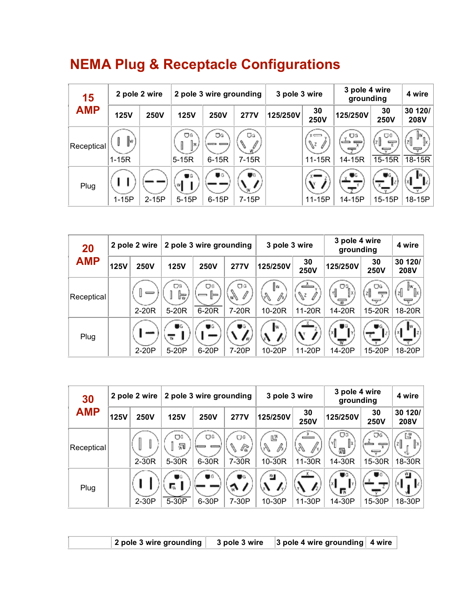## **NEMA Plug & Receptacle Configurations**

| 15<br><b>AMP</b> | 2 pole 2 wire          |             | 2 pole 3 wire grounding     |                              | 3 pole 3 wire                  |          | 3 pole 4 wire<br>grounding                       |                      | 4 wire                   |                           |
|------------------|------------------------|-------------|-----------------------------|------------------------------|--------------------------------|----------|--------------------------------------------------|----------------------|--------------------------|---------------------------|
|                  | <b>125V</b>            | <b>250V</b> | <b>125V</b>                 | <b>250V</b>                  | <b>277V</b>                    | 125/250V | 30<br><b>250V</b>                                | 125/250V             | 30<br><b>250V</b>        | 30 120/<br><b>208V</b>    |
| Receptical       | <br> w<br>I<br>$1-15R$ |             | Ū٩<br>lw,<br>$5-15R$        | ŪG<br>$6-15R$                | ŪG<br>$\mathscr{N}$<br>$7-15R$ |          | $X \leftarrow \rightarrow$<br>V<br>1<br>$11-15R$ | ∫, UG<br>┯<br>14-15R | ÜG<br>(z∬<br>ᅮ<br>15-15R | ŀW<br>lzll<br>┯<br>18-15R |
| Plug             | $1-15P$                | $2-15P$     | $\bullet$ G<br>w<br>$5-15P$ | $\bullet$ $\circ$<br>$6-15P$ | UG.<br>7-15P                   |          | $11 - 15P$                                       | UG.<br>14-15P        | UG.<br>HZ)<br>15-15P     | IW.<br>18-15P             |

| 20<br><b>AMP</b> | 2 pole 2 wire |             | 2 pole 3 wire grounding        |                                         | 3 pole 3 wire         |                     | 3 pole 4 wire<br>grounding |                                         | 4 wire             |                        |
|------------------|---------------|-------------|--------------------------------|-----------------------------------------|-----------------------|---------------------|----------------------------|-----------------------------------------|--------------------|------------------------|
|                  | <b>125V</b>   | <b>250V</b> | <b>125V</b>                    | <b>250V</b>                             | <b>277V</b>           | 125/250V            | 30<br><b>250V</b>          | 125/250V                                | 30<br><b>250V</b>  | 30 120/<br><b>208V</b> |
| Receptical       |               | $2-20R$     | ΩG<br>局,<br>$5-20R$            | UЗ<br>$\overline{\phantom{0}}$<br>6-20R | ΩG<br>hn,<br>7-20R    | Į٣<br>Pr,<br>10-20R | ∸<br>Ps<br>11-20R          | ΟG.<br>۲I<br>$\overline{\pi}$<br>14-20R | UG.<br>┳<br>15-20R | Į۳<br>계<br>18-20R      |
| Plug             |               | 2-20P       | UG.<br>$\overline{w}$<br>5-20P | ۵G<br>6-20P                             | UG<br>I vi I<br>7-20P | ŀ٧<br>10-20P        | 11-20P                     | UG<br>I۷<br>14-20P                      | 7G<br>15-20P       | 18-20P                 |

| 30<br><b>AMP</b> | 2 pole 2 wire |             | 2 pole 3 wire grounding |             | 3 pole 3 wire          |                                 | 3 pole 4 wire<br>grounding |                                   | 4 wire                   |                        |
|------------------|---------------|-------------|-------------------------|-------------|------------------------|---------------------------------|----------------------------|-----------------------------------|--------------------------|------------------------|
|                  | <b>125V</b>   | <b>250V</b> | <b>125V</b>             | <b>250V</b> | <b>277V</b>            | 125/250V                        | 30<br><b>250V</b>          | 125/250V                          | 30<br><b>250V</b>        | 30 120/<br><b>208V</b> |
| Receptical       |               | 2-30R       | UĠ<br>冠<br>$5-30R$      | ОG<br>6-30R | ЮG<br>R,<br>V<br>7-30R | 凹<br>R,<br>B,<br>10-30R         | B<br>ß)<br>11-30R          | Οß<br>$\mathbb{R}$<br>河<br>14-30R | ΩG<br>15-30R             | Ľ¥<br>18-30R           |
| Plug             |               | 2-30P       | UG.<br>г.,<br>5-30P     | ۵G<br>6-30P | UG<br>᠗<br>7-30P       | ‴<br>$\mathbf{r}_{v}$<br>10-30P | $\boldsymbol{h}$<br>11-30P | v<br>Гw<br>14-30P                 | $\blacksquare$<br>15-30P | ய<br>18-30P            |

|  |  | 2 pole 3 wire grounding   3 pole 3 wire   3 pole 4 wire grounding   4 wire |  |
|--|--|----------------------------------------------------------------------------|--|
|--|--|----------------------------------------------------------------------------|--|